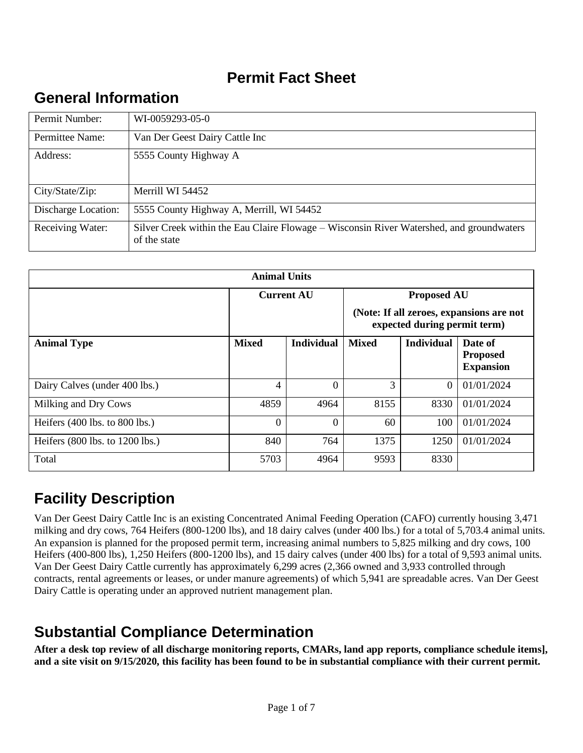# **Permit Fact Sheet**

# **General Information**

| Permit Number:      | WI-0059293-05-0                                                                                          |
|---------------------|----------------------------------------------------------------------------------------------------------|
| Permittee Name:     | Van Der Geest Dairy Cattle Inc                                                                           |
| Address:            | 5555 County Highway A                                                                                    |
| City/State/Zip:     | Merrill WI 54452                                                                                         |
| Discharge Location: | 5555 County Highway A, Merrill, WI 54452                                                                 |
| Receiving Water:    | Silver Creek within the Eau Claire Flowage – Wisconsin River Watershed, and groundwaters<br>of the state |

| <b>Animal Units</b>                |                   |                   |                                                                          |                   |                                                |  |
|------------------------------------|-------------------|-------------------|--------------------------------------------------------------------------|-------------------|------------------------------------------------|--|
|                                    | <b>Current AU</b> |                   | <b>Proposed AU</b>                                                       |                   |                                                |  |
|                                    |                   |                   | (Note: If all zeroes, expansions are not<br>expected during permit term) |                   |                                                |  |
| <b>Animal Type</b>                 | <b>Mixed</b>      | <b>Individual</b> | <b>Mixed</b>                                                             | <b>Individual</b> | Date of<br><b>Proposed</b><br><b>Expansion</b> |  |
| Dairy Calves (under 400 lbs.)      | 4                 | $\theta$          | 3                                                                        | $\overline{0}$    | 01/01/2024                                     |  |
| Milking and Dry Cows               | 4859              | 4964              | 8155                                                                     | 8330              | 01/01/2024                                     |  |
| Heifers $(400$ lbs. to $800$ lbs.) | $\Omega$          | $\Omega$          | 60                                                                       | 100               | 01/01/2024                                     |  |
| Heifers (800 lbs. to 1200 lbs.)    | 840               | 764               | 1375                                                                     | 1250              | 01/01/2024                                     |  |
| Total                              | 5703              | 4964              | 9593                                                                     | 8330              |                                                |  |

# **Facility Description**

Van Der Geest Dairy Cattle Inc is an existing Concentrated Animal Feeding Operation (CAFO) currently housing 3,471 milking and dry cows, 764 Heifers (800-1200 lbs), and 18 dairy calves (under 400 lbs.) for a total of 5,703.4 animal units. An expansion is planned for the proposed permit term, increasing animal numbers to 5,825 milking and dry cows, 100 Heifers (400-800 lbs), 1,250 Heifers (800-1200 lbs), and 15 dairy calves (under 400 lbs) for a total of 9,593 animal units. Van Der Geest Dairy Cattle currently has approximately 6,299 acres (2,366 owned and 3,933 controlled through contracts, rental agreements or leases, or under manure agreements) of which 5,941 are spreadable acres. Van Der Geest Dairy Cattle is operating under an approved nutrient management plan.

# **Substantial Compliance Determination**

**After a desk top review of all discharge monitoring reports, CMARs, land app reports, compliance schedule items], and a site visit on 9/15/2020, this facility has been found to be in substantial compliance with their current permit.**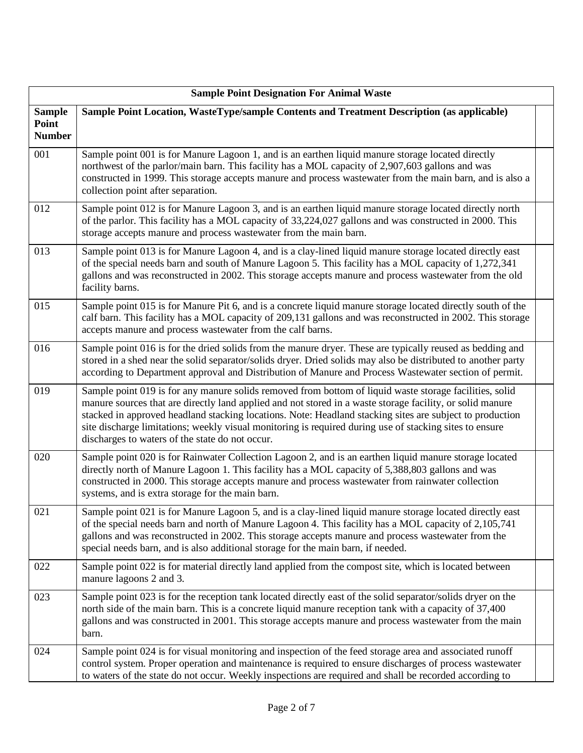|                                         | <b>Sample Point Designation For Animal Waste</b>                                                                                                                                                                                                                                                                                                                                                                                                                                               |  |  |  |  |
|-----------------------------------------|------------------------------------------------------------------------------------------------------------------------------------------------------------------------------------------------------------------------------------------------------------------------------------------------------------------------------------------------------------------------------------------------------------------------------------------------------------------------------------------------|--|--|--|--|
| <b>Sample</b><br>Point<br><b>Number</b> | Sample Point Location, WasteType/sample Contents and Treatment Description (as applicable)                                                                                                                                                                                                                                                                                                                                                                                                     |  |  |  |  |
| 001                                     | Sample point 001 is for Manure Lagoon 1, and is an earthen liquid manure storage located directly<br>northwest of the parlor/main barn. This facility has a MOL capacity of 2,907,603 gallons and was<br>constructed in 1999. This storage accepts manure and process wastewater from the main barn, and is also a<br>collection point after separation.                                                                                                                                       |  |  |  |  |
| 012                                     | Sample point 012 is for Manure Lagoon 3, and is an earthen liquid manure storage located directly north<br>of the parlor. This facility has a MOL capacity of 33,224,027 gallons and was constructed in 2000. This<br>storage accepts manure and process wastewater from the main barn.                                                                                                                                                                                                        |  |  |  |  |
| 013                                     | Sample point 013 is for Manure Lagoon 4, and is a clay-lined liquid manure storage located directly east<br>of the special needs barn and south of Manure Lagoon 5. This facility has a MOL capacity of 1,272,341<br>gallons and was reconstructed in 2002. This storage accepts manure and process wastewater from the old<br>facility barns.                                                                                                                                                 |  |  |  |  |
| 015                                     | Sample point 015 is for Manure Pit 6, and is a concrete liquid manure storage located directly south of the<br>calf barn. This facility has a MOL capacity of 209,131 gallons and was reconstructed in 2002. This storage<br>accepts manure and process wastewater from the calf barns.                                                                                                                                                                                                        |  |  |  |  |
| 016                                     | Sample point 016 is for the dried solids from the manure dryer. These are typically reused as bedding and<br>stored in a shed near the solid separator/solids dryer. Dried solids may also be distributed to another party<br>according to Department approval and Distribution of Manure and Process Wastewater section of permit.                                                                                                                                                            |  |  |  |  |
| 019                                     | Sample point 019 is for any manure solids removed from bottom of liquid waste storage facilities, solid<br>manure sources that are directly land applied and not stored in a waste storage facility, or solid manure<br>stacked in approved headland stacking locations. Note: Headland stacking sites are subject to production<br>site discharge limitations; weekly visual monitoring is required during use of stacking sites to ensure<br>discharges to waters of the state do not occur. |  |  |  |  |
| 020                                     | Sample point 020 is for Rainwater Collection Lagoon 2, and is an earthen liquid manure storage located<br>directly north of Manure Lagoon 1. This facility has a MOL capacity of 5,388,803 gallons and was<br>constructed in 2000. This storage accepts manure and process wastewater from rainwater collection<br>systems, and is extra storage for the main barn.                                                                                                                            |  |  |  |  |
| 021                                     | Sample point 021 is for Manure Lagoon 5, and is a clay-lined liquid manure storage located directly east<br>of the special needs barn and north of Manure Lagoon 4. This facility has a MOL capacity of 2,105,741<br>gallons and was reconstructed in 2002. This storage accepts manure and process wastewater from the<br>special needs barn, and is also additional storage for the main barn, if needed.                                                                                    |  |  |  |  |
| 022                                     | Sample point 022 is for material directly land applied from the compost site, which is located between<br>manure lagoons 2 and 3.                                                                                                                                                                                                                                                                                                                                                              |  |  |  |  |
| 023                                     | Sample point 023 is for the reception tank located directly east of the solid separator/solids dryer on the<br>north side of the main barn. This is a concrete liquid manure reception tank with a capacity of 37,400<br>gallons and was constructed in 2001. This storage accepts manure and process wastewater from the main<br>barn.                                                                                                                                                        |  |  |  |  |
| 024                                     | Sample point 024 is for visual monitoring and inspection of the feed storage area and associated runoff<br>control system. Proper operation and maintenance is required to ensure discharges of process wastewater<br>to waters of the state do not occur. Weekly inspections are required and shall be recorded according to                                                                                                                                                                  |  |  |  |  |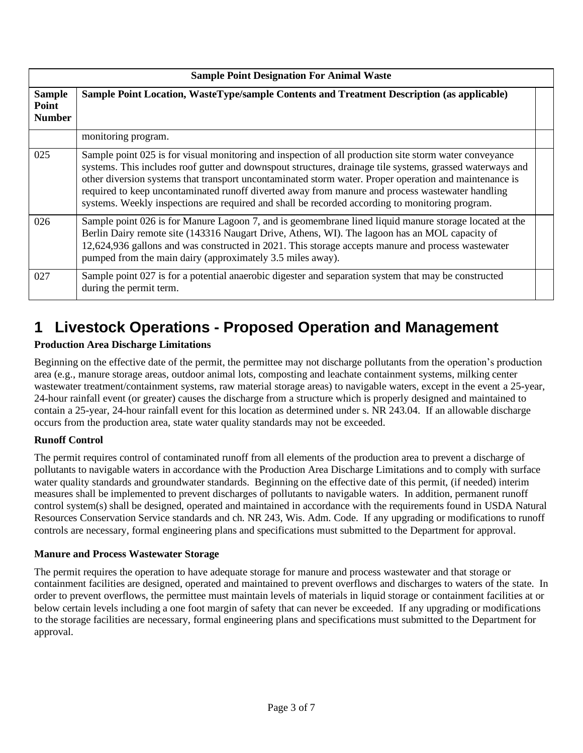|                                         | <b>Sample Point Designation For Animal Waste</b>                                                                                                                                                                                                                                                                                                                                                                                                                                                                                     |  |  |  |  |
|-----------------------------------------|--------------------------------------------------------------------------------------------------------------------------------------------------------------------------------------------------------------------------------------------------------------------------------------------------------------------------------------------------------------------------------------------------------------------------------------------------------------------------------------------------------------------------------------|--|--|--|--|
| <b>Sample</b><br>Point<br><b>Number</b> | Sample Point Location, WasteType/sample Contents and Treatment Description (as applicable)                                                                                                                                                                                                                                                                                                                                                                                                                                           |  |  |  |  |
|                                         | monitoring program.                                                                                                                                                                                                                                                                                                                                                                                                                                                                                                                  |  |  |  |  |
| 025                                     | Sample point 025 is for visual monitoring and inspection of all production site storm water conveyance<br>systems. This includes roof gutter and downspout structures, drainage tile systems, grassed waterways and<br>other diversion systems that transport uncontaminated storm water. Proper operation and maintenance is<br>required to keep uncontaminated runoff diverted away from manure and process wastewater handling<br>systems. Weekly inspections are required and shall be recorded according to monitoring program. |  |  |  |  |
| 026                                     | Sample point 026 is for Manure Lagoon 7, and is geomembrane lined liquid manure storage located at the<br>Berlin Dairy remote site (143316 Naugart Drive, Athens, WI). The lagoon has an MOL capacity of<br>12,624,936 gallons and was constructed in 2021. This storage accepts manure and process wastewater<br>pumped from the main dairy (approximately 3.5 miles away).                                                                                                                                                         |  |  |  |  |
| 027                                     | Sample point 027 is for a potential anaerobic digester and separation system that may be constructed<br>during the permit term.                                                                                                                                                                                                                                                                                                                                                                                                      |  |  |  |  |

# **1 Livestock Operations - Proposed Operation and Management**

### **Production Area Discharge Limitations**

Beginning on the effective date of the permit, the permittee may not discharge pollutants from the operation's production area (e.g., manure storage areas, outdoor animal lots, composting and leachate containment systems, milking center wastewater treatment/containment systems, raw material storage areas) to navigable waters, except in the event a 25-year, 24-hour rainfall event (or greater) causes the discharge from a structure which is properly designed and maintained to contain a 25-year, 24-hour rainfall event for this location as determined under s. NR 243.04. If an allowable discharge occurs from the production area, state water quality standards may not be exceeded.

### **Runoff Control**

The permit requires control of contaminated runoff from all elements of the production area to prevent a discharge of pollutants to navigable waters in accordance with the Production Area Discharge Limitations and to comply with surface water quality standards and groundwater standards. Beginning on the effective date of this permit, (if needed) interim measures shall be implemented to prevent discharges of pollutants to navigable waters. In addition, permanent runoff control system(s) shall be designed, operated and maintained in accordance with the requirements found in USDA Natural Resources Conservation Service standards and ch. NR 243, Wis. Adm. Code. If any upgrading or modifications to runoff controls are necessary, formal engineering plans and specifications must submitted to the Department for approval.

### **Manure and Process Wastewater Storage**

The permit requires the operation to have adequate storage for manure and process wastewater and that storage or containment facilities are designed, operated and maintained to prevent overflows and discharges to waters of the state. In order to prevent overflows, the permittee must maintain levels of materials in liquid storage or containment facilities at or below certain levels including a one foot margin of safety that can never be exceeded. If any upgrading or modifications to the storage facilities are necessary, formal engineering plans and specifications must submitted to the Department for approval.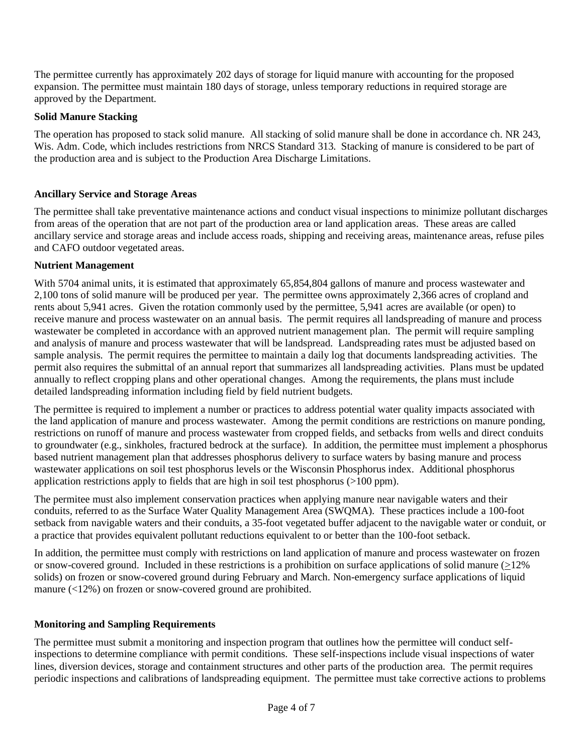The permittee currently has approximately 202 days of storage for liquid manure with accounting for the proposed expansion. The permittee must maintain 180 days of storage, unless temporary reductions in required storage are approved by the Department.

#### **Solid Manure Stacking**

The operation has proposed to stack solid manure. All stacking of solid manure shall be done in accordance ch. NR 243, Wis. Adm. Code, which includes restrictions from NRCS Standard 313. Stacking of manure is considered to be part of the production area and is subject to the Production Area Discharge Limitations.

#### **Ancillary Service and Storage Areas**

The permittee shall take preventative maintenance actions and conduct visual inspections to minimize pollutant discharges from areas of the operation that are not part of the production area or land application areas. These areas are called ancillary service and storage areas and include access roads, shipping and receiving areas, maintenance areas, refuse piles and CAFO outdoor vegetated areas.

#### **Nutrient Management**

With 5704 animal units, it is estimated that approximately 65,854,804 gallons of manure and process wastewater and 2,100 tons of solid manure will be produced per year. The permittee owns approximately 2,366 acres of cropland and rents about 5,941 acres. Given the rotation commonly used by the permittee, 5,941 acres are available (or open) to receive manure and process wastewater on an annual basis. The permit requires all landspreading of manure and process wastewater be completed in accordance with an approved nutrient management plan. The permit will require sampling and analysis of manure and process wastewater that will be landspread. Landspreading rates must be adjusted based on sample analysis. The permit requires the permittee to maintain a daily log that documents landspreading activities. The permit also requires the submittal of an annual report that summarizes all landspreading activities. Plans must be updated annually to reflect cropping plans and other operational changes. Among the requirements, the plans must include detailed landspreading information including field by field nutrient budgets.

The permittee is required to implement a number or practices to address potential water quality impacts associated with the land application of manure and process wastewater. Among the permit conditions are restrictions on manure ponding, restrictions on runoff of manure and process wastewater from cropped fields, and setbacks from wells and direct conduits to groundwater (e.g., sinkholes, fractured bedrock at the surface). In addition, the permittee must implement a phosphorus based nutrient management plan that addresses phosphorus delivery to surface waters by basing manure and process wastewater applications on soil test phosphorus levels or the Wisconsin Phosphorus index. Additional phosphorus application restrictions apply to fields that are high in soil test phosphorus (>100 ppm).

The permitee must also implement conservation practices when applying manure near navigable waters and their conduits, referred to as the Surface Water Quality Management Area (SWQMA). These practices include a 100-foot setback from navigable waters and their conduits, a 35-foot vegetated buffer adjacent to the navigable water or conduit, or a practice that provides equivalent pollutant reductions equivalent to or better than the 100-foot setback.

In addition, the permittee must comply with restrictions on land application of manure and process wastewater on frozen or snow-covered ground. Included in these restrictions is a prohibition on surface applications of solid manure  $(212\%)$ solids) on frozen or snow-covered ground during February and March. Non-emergency surface applications of liquid manure (<12%) on frozen or snow-covered ground are prohibited.

#### **Monitoring and Sampling Requirements**

The permittee must submit a monitoring and inspection program that outlines how the permittee will conduct selfinspections to determine compliance with permit conditions. These self-inspections include visual inspections of water lines, diversion devices, storage and containment structures and other parts of the production area. The permit requires periodic inspections and calibrations of landspreading equipment. The permittee must take corrective actions to problems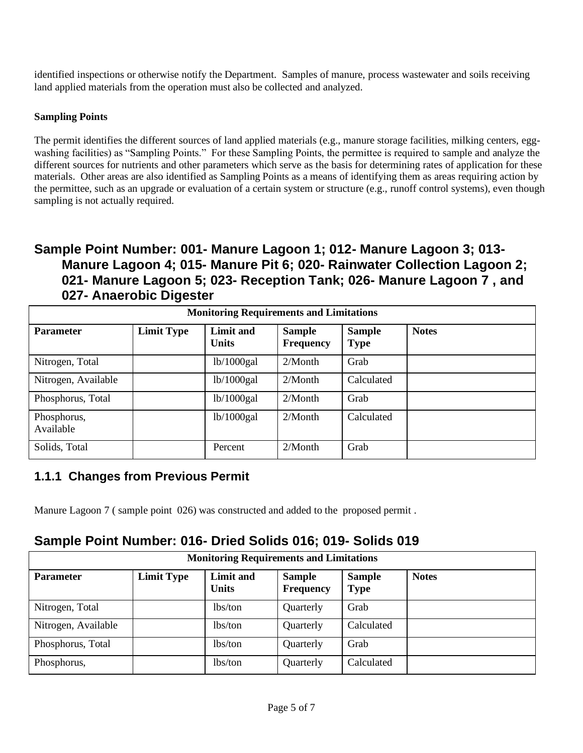identified inspections or otherwise notify the Department. Samples of manure, process wastewater and soils receiving land applied materials from the operation must also be collected and analyzed.

#### **Sampling Points**

The permit identifies the different sources of land applied materials (e.g., manure storage facilities, milking centers, eggwashing facilities) as "Sampling Points." For these Sampling Points, the permittee is required to sample and analyze the different sources for nutrients and other parameters which serve as the basis for determining rates of application for these materials. Other areas are also identified as Sampling Points as a means of identifying them as areas requiring action by the permittee, such as an upgrade or evaluation of a certain system or structure (e.g., runoff control systems), even though sampling is not actually required.

### **Sample Point Number: 001- Manure Lagoon 1; 012- Manure Lagoon 3; 013- Manure Lagoon 4; 015- Manure Pit 6; 020- Rainwater Collection Lagoon 2; 021- Manure Lagoon 5; 023- Reception Tank; 026- Manure Lagoon 7 , and 027- Anaerobic Digester**

| <b>Monitoring Requirements and Limitations</b> |                   |                                  |                                   |                              |              |  |
|------------------------------------------------|-------------------|----------------------------------|-----------------------------------|------------------------------|--------------|--|
| <b>Parameter</b>                               | <b>Limit Type</b> | <b>Limit and</b><br><b>Units</b> | <b>Sample</b><br><b>Frequency</b> | <b>Sample</b><br><b>Type</b> | <b>Notes</b> |  |
| Nitrogen, Total                                |                   | lb/1000 gal                      | $2/M$ onth                        | Grab                         |              |  |
| Nitrogen, Available                            |                   | lb/1000 gal                      | $2/M$ onth                        | Calculated                   |              |  |
| Phosphorus, Total                              |                   | lb/1000 gal                      | $2/M$ onth                        | Grab                         |              |  |
| Phosphorus,<br>Available                       |                   | lb/1000 gal                      | $2/M$ onth                        | Calculated                   |              |  |
| Solids, Total                                  |                   | Percent                          | $2/M$ onth                        | Grab                         |              |  |

### **1.1.1 Changes from Previous Permit**

Manure Lagoon 7 ( sample point 026) was constructed and added to the proposed permit .

## **Sample Point Number: 016- Dried Solids 016; 019- Solids 019**

| <b>Monitoring Requirements and Limitations</b> |                   |                           |                                   |                              |              |  |
|------------------------------------------------|-------------------|---------------------------|-----------------------------------|------------------------------|--------------|--|
| <b>Parameter</b>                               | <b>Limit Type</b> | Limit and<br><b>Units</b> | <b>Sample</b><br><b>Frequency</b> | <b>Sample</b><br><b>Type</b> | <b>Notes</b> |  |
| Nitrogen, Total                                |                   | lbs/ton                   | Quarterly                         | Grab                         |              |  |
| Nitrogen, Available                            |                   | lbs/ton                   | Quarterly                         | Calculated                   |              |  |
| Phosphorus, Total                              |                   | lbs/ton                   | Quarterly                         | Grab                         |              |  |
| Phosphorus,                                    |                   | lbs/ton                   | Quarterly                         | Calculated                   |              |  |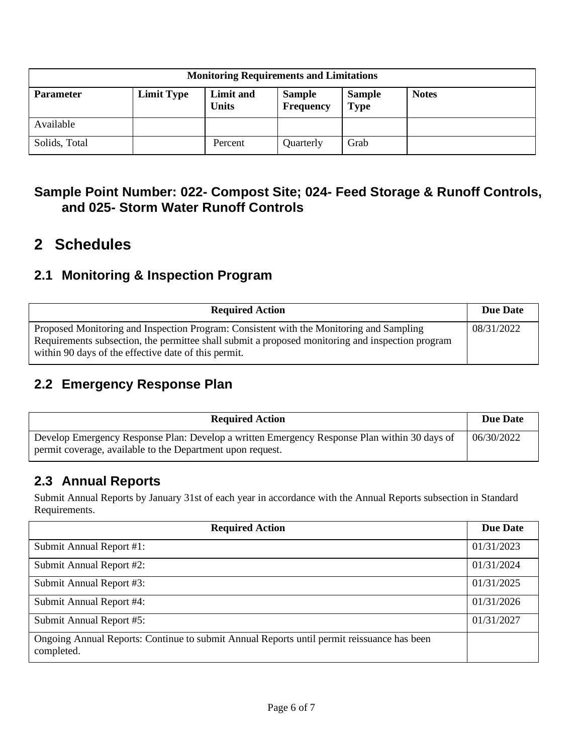| <b>Monitoring Requirements and Limitations</b> |                   |                           |                            |                              |              |  |
|------------------------------------------------|-------------------|---------------------------|----------------------------|------------------------------|--------------|--|
| <b>Parameter</b>                               | <b>Limit Type</b> | Limit and<br><b>Units</b> | <b>Sample</b><br>Frequency | <b>Sample</b><br><b>Type</b> | <b>Notes</b> |  |
| Available                                      |                   |                           |                            |                              |              |  |
| Solids, Total                                  |                   | Percent                   | Quarterly                  | Grab                         |              |  |

### **Sample Point Number: 022- Compost Site; 024- Feed Storage & Runoff Controls, and 025- Storm Water Runoff Controls**

# **2 Schedules**

### **2.1 Monitoring & Inspection Program**

| <b>Required Action</b>                                                                                                                                                                                                                              | <b>Due Date</b> |
|-----------------------------------------------------------------------------------------------------------------------------------------------------------------------------------------------------------------------------------------------------|-----------------|
| Proposed Monitoring and Inspection Program: Consistent with the Monitoring and Sampling<br>Requirements subsection, the permittee shall submit a proposed monitoring and inspection program<br>within 90 days of the effective date of this permit. | 08/31/2022      |

### **2.2 Emergency Response Plan**

| <b>Required Action</b>                                                                                                                                     | Due Date   |
|------------------------------------------------------------------------------------------------------------------------------------------------------------|------------|
| Develop Emergency Response Plan: Develop a written Emergency Response Plan within 30 days of<br>permit coverage, available to the Department upon request. | 06/30/2022 |

### **2.3 Annual Reports**

Submit Annual Reports by January 31st of each year in accordance with the Annual Reports subsection in Standard Requirements.

| <b>Required Action</b>                                                                                   | <b>Due Date</b> |
|----------------------------------------------------------------------------------------------------------|-----------------|
| Submit Annual Report #1:                                                                                 | 01/31/2023      |
| Submit Annual Report #2:                                                                                 | 01/31/2024      |
| Submit Annual Report #3:                                                                                 | 01/31/2025      |
| Submit Annual Report #4:                                                                                 | 01/31/2026      |
| Submit Annual Report #5:                                                                                 | 01/31/2027      |
| Ongoing Annual Reports: Continue to submit Annual Reports until permit reissuance has been<br>completed. |                 |